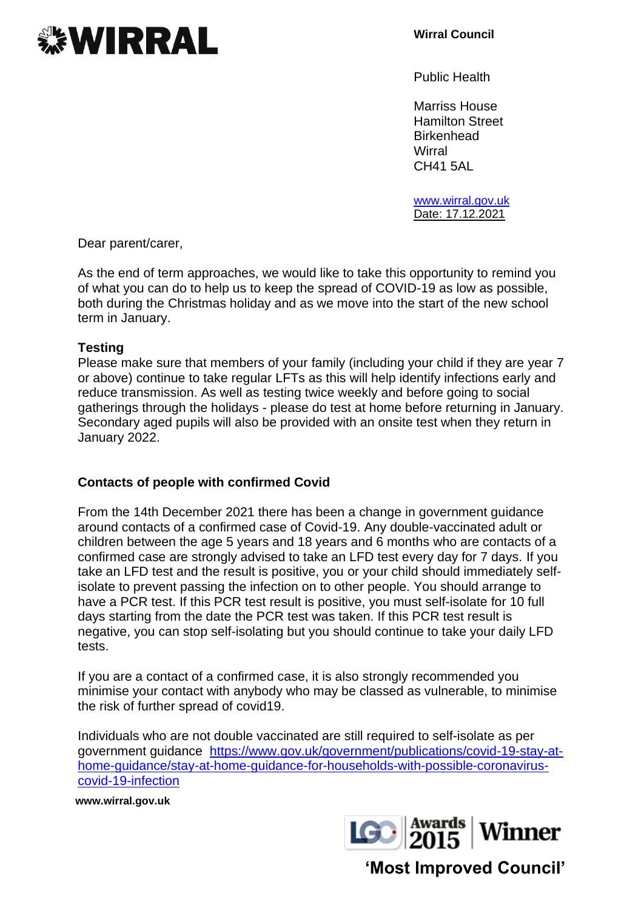

**Wirral Council**

Public Health

Marriss House Hamilton Street **Birkenhead Wirral** CH41 5AL

[www.wirral.gov.uk](http://www.wirral.gov.uk/) Date: 17.12.2021

Dear parent/carer,

As the end of term approaches, we would like to take this opportunity to remind you of what you can do to help us to keep the spread of COVID-19 as low as possible, both during the Christmas holiday and as we move into the start of the new school term in January.

## **Testing**

Please make sure that members of your family (including your child if they are year 7 or above) continue to take regular LFTs as this will help identify infections early and reduce transmission. As well as testing twice weekly and before going to social gatherings through the holidays - please do test at home before returning in January. Secondary aged pupils will also be provided with an onsite test when they return in January 2022.

## **Contacts of people with confirmed Covid**

From the 14th December 2021 there has been a change in government guidance around contacts of a confirmed case of Covid-19. Any double-vaccinated adult or children between the age 5 years and 18 years and 6 months who are contacts of a confirmed case are strongly advised to take an LFD test every day for 7 days. If you take an LFD test and the result is positive, you or your child should immediately selfisolate to prevent passing the infection on to other people. You should arrange to have a PCR test. If this PCR test result is positive, you must self-isolate for 10 full days starting from the date the PCR test was taken. If this PCR test result is negative, you can stop self-isolating but you should continue to take your daily LFD tests.

If you are a contact of a confirmed case, it is also strongly recommended you minimise your contact with anybody who may be classed as vulnerable, to minimise the risk of further spread of covid19.

Individuals who are not double vaccinated are still required to self-isolate as per government guidance [https://www.gov.uk/government/publications/covid-19-stay-at](https://www.gov.uk/government/publications/covid-19-stay-at-home-guidance/stay-at-home-guidance-for-households-with-possible-coronavirus-covid-19-infection)[home-guidance/stay-at-home-guidance-for-households-with-possible-coronavirus](https://www.gov.uk/government/publications/covid-19-stay-at-home-guidance/stay-at-home-guidance-for-households-with-possible-coronavirus-covid-19-infection)[covid-19-infection](https://www.gov.uk/government/publications/covid-19-stay-at-home-guidance/stay-at-home-guidance-for-households-with-possible-coronavirus-covid-19-infection)

**www.wirral.gov.uk**



**'Most Improved Council'**